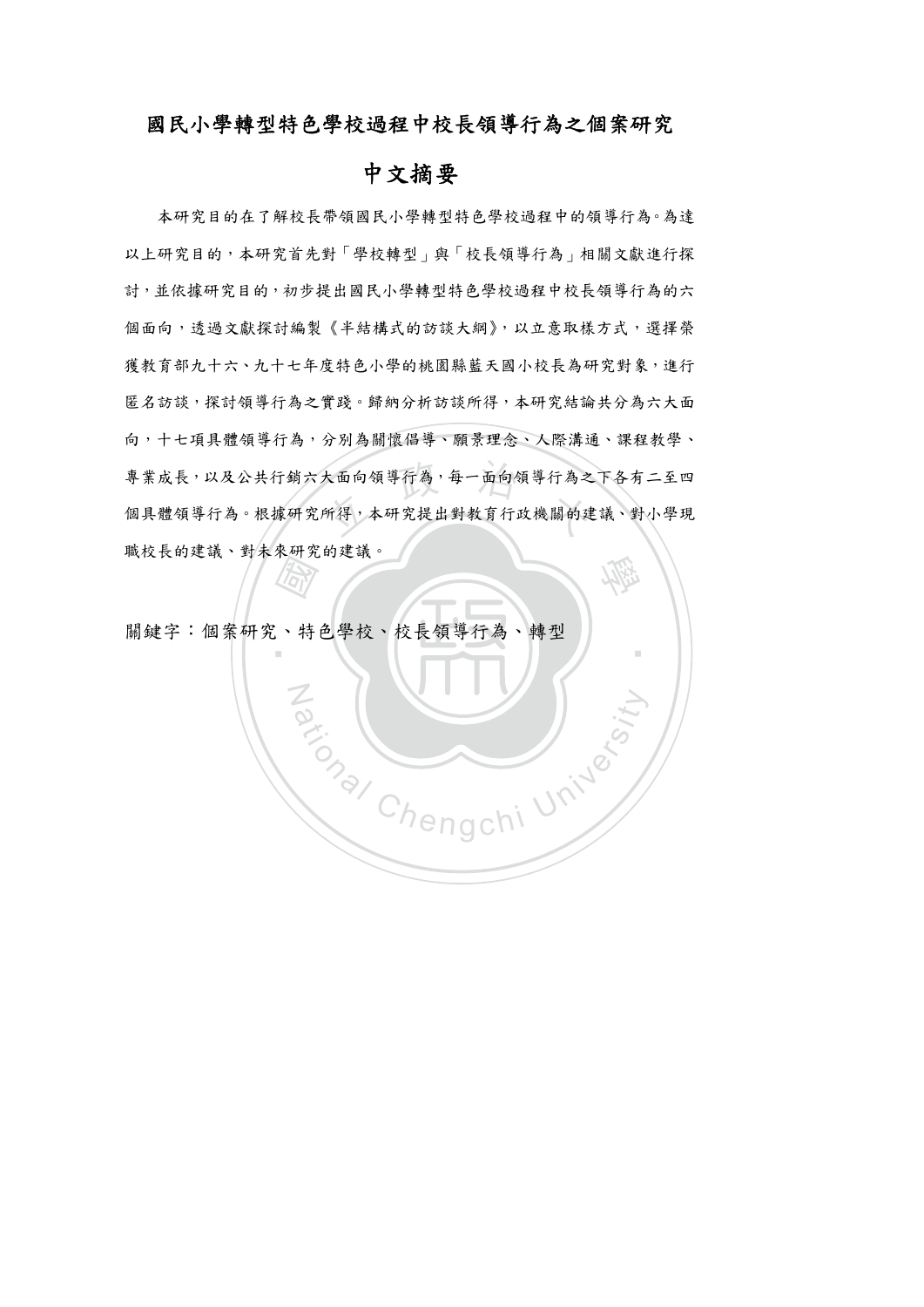國民小學轉型特色學校過程中校長領導行為之個案研究

## 中文摘要

專業成長,以及公共行銷六大面向領導行為,每一面向領導行為之下各有二至四<br>個具體領導行為。根據研究所得,本研究提出對教育行政機關的建議、對小學現 學 本研究目的在了解校長帶領國民小學轉型特色學校過程中的領導行為。為達 以上研究目的,本研究首先對「學校轉型」與「校長領導行為」相關文獻進行探 討,並依據研究目的,初步提出國民小學轉型特色學校過程中校長領導行為的六 個面向,透過文獻探討編製《半結構式的訪談大綱》,以立意取樣方式,選擇榮 獲教育部九十六、九十七年度特色小學的桃園縣藍天國小校長為研究對象,進行 匿名訪談,探討領導行為之實踐。歸納分析訪談所得,本研究結論共分為六大面 向,十七項具體領導行為,分別為關懷倡導、願景理念、人際溝通、課程教學、 個具體領導行為。根據研究所得,本研究提出對教育行政機關的建議、對小學現 職校長的建議、對未來研究的建議。

Zanal Chengchi University

‧

信仰 特 關鍵字:個案研究、特色學校、校長領導行為、轉型